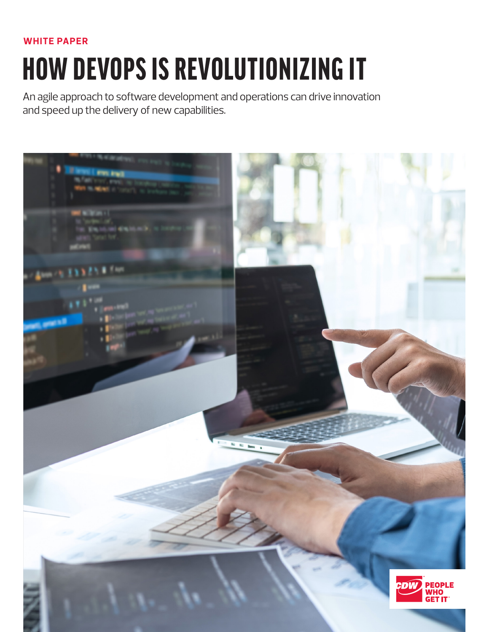# **WHITE PAPER**

# HOW DEVOPS IS REVOLUTIONIZING IT

An agile approach to software development and operations can drive innovation and speed up the delivery of new capabilities.

| it level ( eve leg).               |                                                                                                                                                                                                                                                                                                                                                                                                                                                                  |                           |                                  |
|------------------------------------|------------------------------------------------------------------------------------------------------------------------------------------------------------------------------------------------------------------------------------------------------------------------------------------------------------------------------------------------------------------------------------------------------------------------------------------------------------------|---------------------------|----------------------------------|
| <b>Martin Fox</b><br>an in mind of |                                                                                                                                                                                                                                                                                                                                                                                                                                                                  |                           |                                  |
|                                    |                                                                                                                                                                                                                                                                                                                                                                                                                                                                  |                           |                                  |
| <b>MENTINIA</b>                    |                                                                                                                                                                                                                                                                                                                                                                                                                                                                  |                           |                                  |
| Em.16.1                            |                                                                                                                                                                                                                                                                                                                                                                                                                                                                  |                           |                                  |
|                                    |                                                                                                                                                                                                                                                                                                                                                                                                                                                                  |                           |                                  |
|                                    |                                                                                                                                                                                                                                                                                                                                                                                                                                                                  |                           |                                  |
| $1$ fm                             |                                                                                                                                                                                                                                                                                                                                                                                                                                                                  |                           |                                  |
|                                    |                                                                                                                                                                                                                                                                                                                                                                                                                                                                  |                           |                                  |
|                                    |                                                                                                                                                                                                                                                                                                                                                                                                                                                                  |                           |                                  |
|                                    |                                                                                                                                                                                                                                                                                                                                                                                                                                                                  |                           |                                  |
| <b>COLOR</b>                       |                                                                                                                                                                                                                                                                                                                                                                                                                                                                  | $\mathcal{P}/\mathcal{P}$ |                                  |
|                                    |                                                                                                                                                                                                                                                                                                                                                                                                                                                                  |                           |                                  |
|                                    |                                                                                                                                                                                                                                                                                                                                                                                                                                                                  |                           |                                  |
|                                    |                                                                                                                                                                                                                                                                                                                                                                                                                                                                  |                           |                                  |
|                                    |                                                                                                                                                                                                                                                                                                                                                                                                                                                                  |                           |                                  |
|                                    |                                                                                                                                                                                                                                                                                                                                                                                                                                                                  |                           |                                  |
|                                    |                                                                                                                                                                                                                                                                                                                                                                                                                                                                  |                           |                                  |
|                                    |                                                                                                                                                                                                                                                                                                                                                                                                                                                                  |                           |                                  |
|                                    | $\begin{array}{c c c c} \hline \multicolumn{3}{c }{\multicolumn{3}{c }{\multicolumn{3}{c }{\multicolumn{3}{c}}}} & \multicolumn{3}{c }{\multicolumn{3}{c }{\multicolumn{3}{c }{\multicolumn{3}{c}}}} & \multicolumn{3}{c }{\multicolumn{3}{c }{\multicolumn{3}{c }{\multicolumn{3}{c}}}} & \multicolumn{3}{c }{\multicolumn{3}{c }{\multicolumn{3}{c }{\multicolumn{3}{c}}}} & \multicolumn{3}{c }{\multicolumn{3}{c }{\multicolumn{3}{c }{\multicolumn{3}{c }{$ |                           |                                  |
|                                    |                                                                                                                                                                                                                                                                                                                                                                                                                                                                  |                           |                                  |
|                                    |                                                                                                                                                                                                                                                                                                                                                                                                                                                                  |                           |                                  |
|                                    |                                                                                                                                                                                                                                                                                                                                                                                                                                                                  |                           |                                  |
|                                    |                                                                                                                                                                                                                                                                                                                                                                                                                                                                  |                           |                                  |
|                                    |                                                                                                                                                                                                                                                                                                                                                                                                                                                                  |                           |                                  |
|                                    |                                                                                                                                                                                                                                                                                                                                                                                                                                                                  |                           |                                  |
|                                    |                                                                                                                                                                                                                                                                                                                                                                                                                                                                  |                           |                                  |
|                                    |                                                                                                                                                                                                                                                                                                                                                                                                                                                                  |                           |                                  |
|                                    |                                                                                                                                                                                                                                                                                                                                                                                                                                                                  | <b>CDW</b>                |                                  |
|                                    |                                                                                                                                                                                                                                                                                                                                                                                                                                                                  |                           | <b>PEOPLE<br/>WHO<br/>GET IT</b> |
|                                    |                                                                                                                                                                                                                                                                                                                                                                                                                                                                  |                           |                                  |
|                                    |                                                                                                                                                                                                                                                                                                                                                                                                                                                                  |                           |                                  |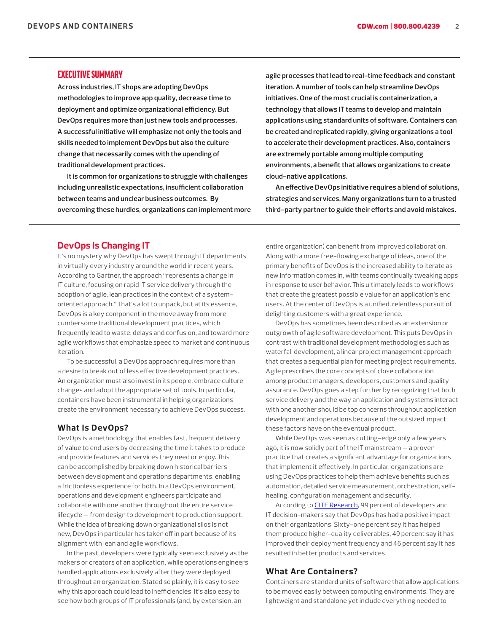## EXECUTIVE SUMMARY

**Across industries, IT shops are adopting DevOps methodologies to improve app quality, decrease time to deployment and optimize organizational efficiency. But DevOps requires more than just new tools and processes. A successful initiative will emphasize not only the tools and skills needed to implement DevOps but also the culture change that necessarily comes with the upending of traditional development practices.** 

**It is common for organizations to struggle with challenges including unrealistic expectations, insufficient collaboration between teams and unclear business outcomes. By overcoming these hurdles, organizations can implement more**  **agile processes that lead to real-time feedback and constant iteration. A number of tools can help streamline DevOps initiatives. One of the most crucial is containerization, a technology that allows IT teams to develop and maintain applications using standard units of software. Containers can be created and replicated rapidly, giving organizations a tool to accelerate their development practices. Also, containers are extremely portable among multiple computing environments, a benefit that allows organizations to create cloud-native applications.**

**An effective DevOps initiative requires a blend of solutions, strategies and services. Many organizations turn to a trusted third-party partner to guide their efforts and avoid mistakes.**

## **DevOps Is Changing IT**

It's no mystery why DevOps has swept through IT departments in virtually every industry around the world in recent years. According to Gartner, the approach "represents a change in IT culture, focusing on rapid IT service delivery through the adoption of agile, lean practices in the context of a systemoriented approach." That's a lot to unpack, but at its essence, DevOps is a key component in the move away from more cumbersome traditional development practices, which frequently lead to waste, delays and confusion, and toward more agile workflows that emphasize speed to market and continuous iteration.

To be successful, a DevOps approach requires more than a desire to break out of less effective development practices. An organization must also invest in its people, embrace culture changes and adopt the appropriate set of tools. In particular, containers have been instrumental in helping organizations create the environment necessary to achieve DevOps success.

#### **What Is DevOps?**

DevOps is a methodology that enables fast, frequent delivery of value to end users by decreasing the time it takes to produce and provide features and services they need or enjoy. This can be accomplished by breaking down historical barriers between development and operations departments, enabling a frictionless experience for both. In a DevOps environment, operations and development engineers participate and collaborate with one another throughout the entire service lifecycle — from design to development to production support. While the idea of breaking down organizational silos is not new, DevOps in particular has taken off in part because of its alignment with lean and agile workflows.

In the past, developers were typically seen exclusively as the makers or creators of an application, while operations engineers handled applications exclusively after they were deployed throughout an organization. Stated so plainly, it is easy to see why this approach could lead to inefficiencies. It's also easy to see how both groups of IT professionals (and, by extension, an

entire organization) can benefit from improved collaboration. Along with a more free-flowing exchange of ideas, one of the primary benefits of DevOps is the increased ability to iterate as new information comes in, with teams continually tweaking apps in response to user behavior. This ultimately leads to workflows that create the greatest possible value for an application's end users. At the center of DevOps is a unified, relentless pursuit of delighting customers with a great experience.

DevOps has sometimes been described as an extension or outgrowth of agile software development. This puts DevOps in contrast with traditional development methodologies such as waterfall development, a linear project management approach that creates a sequential plan for meeting project requirements. Agile prescribes the core concepts of close collaboration among product managers, developers, customers and quality assurance. DevOps goes a step further by recognizing that both service delivery and the way an application and systems interact with one another should be top concerns throughout application development and operations because of the outsized impact these factors have on the eventual product.

While DevOps was seen as cutting-edge only a few years ago, it is now solidly part of the IT mainstream — a proven practice that creates a significant advantage for organizations that implement it effectively. In particular, organizations are using DevOps practices to help them achieve benefits such as automation, detailed service measurement, orchestration, selfhealing, configuration management and security.

According to **[CITE Research](https://www.atlassian.com/dam/jcr:a87265a6-4a4d-4905-97e9-4129ac78563c/Atlassian DevOps Trends Survey 2020.pdf)**, 99 percent of developers and IT decision-makers say that DevOps has had a positive impact on their organizations. Sixty-one percent say it has helped them produce higher-quality deliverables, 49 percent say it has improved their deployment frequency and 46 percent say it has resulted in better products and services.

#### **What Are Containers?**

Containers are standard units of software that allow applications to be moved easily between computing environments. They are lightweight and standalone yet include everything needed to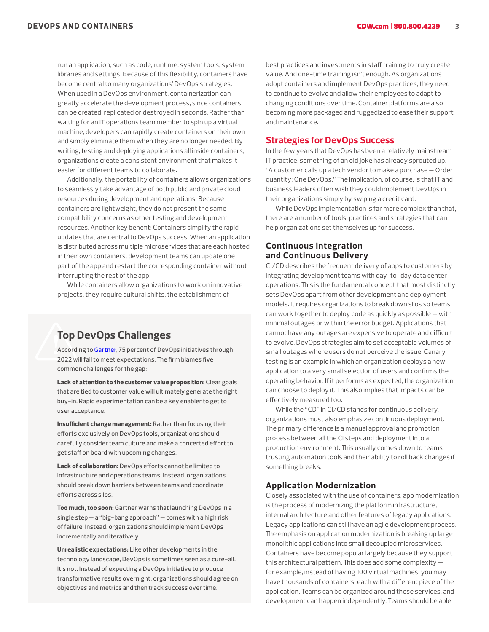run an application, such as code, runtime, system tools, system libraries and settings. Because of this flexibility, containers have become central to many organizations' DevOps strategies. When used in a DevOps environment, containerization can greatly accelerate the development process, since containers can be created, replicated or destroyed in seconds. Rather than waiting for an IT operations team member to spin up a virtual machine, developers can rapidly create containers on their own and simply eliminate them when they are no longer needed. By writing, testing and deploying applications all inside containers, organizations create a consistent environment that makes it easier for different teams to collaborate.

Additionally, the portability of containers allows organizations to seamlessly take advantage of both public and private cloud resources during development and operations. Because containers are lightweight, they do not present the same compatibility concerns as other testing and development resources. Another key benefit: Containers simplify the rapid updates that are central to DevOps success. When an application is distributed across multiple microservices that are each hosted in their own containers, development teams can update one part of the app and restart the corresponding container without interrupting the rest of the app.

While containers allow organizations to work on innovative projects, they require cultural shifts, the establishment of

# **Top DevOps Challenges**

According to [Gartner,](https://www.gartner.com/smarterwithgartner/the-secret-to-devops-success/) 75 percent of DevOps initiatives through 2022 will fail to meet expectations. The firm blames five common challenges for the gap:

Lack of attention to the customer value proposition: Clear goals that are tied to customer value will ultimately generate the right buy-in. Rapid experimentation can be a key enabler to get to user acceptance.

Insufficient change management: Rather than focusing their efforts exclusively on DevOps tools, organizations should carefully consider team culture and make a concerted effort to get staff on board with upcoming changes.

Lack of collaboration: DevOps efforts cannot be limited to infrastructure and operations teams. Instead, organizations should break down barriers between teams and coordinate efforts across silos.

Too much, too soon: Gartner warns that launching DevOps in a single step — a "big-bang approach" — comes with a high risk of failure. Instead, organizations should implement DevOps incrementally and iteratively.

Unrealistic expectations: Like other developments in the technology landscape, DevOps is sometimes seen as a cure-all. It's not. Instead of expecting a DevOps initiative to produce transformative results overnight, organizations should agree on objectives and metrics and then track success over time.

best practices and investments in staff training to truly create value. And one-time training isn't enough. As organizations adopt containers and implement DevOps practices, they need to continue to evolve and allow their employees to adapt to changing conditions over time. Container platforms are also becoming more packaged and ruggedized to ease their support and maintenance.

# **Strategies for DevOps Success**

In the few years that DevOps has been a relatively mainstream IT practice, something of an old joke has already sprouted up. "A customer calls up a tech vendor to make a purchase — Order quantity: One DevOps." The implication, of course, is that IT and business leaders often wish they could implement DevOps in their organizations simply by swiping a credit card.

While DevOps implementation is far more complex than that, there are a number of tools, practices and strategies that can help organizations set themselves up for success.

## **Continuous Integration and Continuous Delivery**

CI/CD describes the frequent delivery of apps to customers by integrating development teams with day-to-day data center operations. This is the fundamental concept that most distinctly sets DevOps apart from other development and deployment models. It requires organizations to break down silos so teams can work together to deploy code as quickly as possible — with minimal outages or within the error budget. Applications that cannot have any outages are expensive to operate and difficult to evolve. DevOps strategies aim to set acceptable volumes of small outages where users do not perceive the issue. Canary testing is an example in which an organization deploys a new application to a very small selection of users and confirms the operating behavior. If it performs as expected, the organization can choose to deploy it. This also implies that impacts can be effectively measured too.

While the "CD" in CI/CD stands for continuous delivery, organizations must also emphasize continuous deployment. The primary difference is a manual approval and promotion process between all the CI steps and deployment into a production environment. This usually comes down to teams trusting automation tools and their ability to roll back changes if something breaks.

#### **Application Modernization**

Closely associated with the use of containers, app modernization is the process of modernizing the platform infrastructure, internal architecture and other features of legacy applications. Legacy applications can still have an agile development process. The emphasis on application modernization is breaking up large monolithic applications into small decoupled microservices. Containers have become popular largely because they support this architectural pattern. This does add some complexity for example, instead of having 100 virtual machines, you may have thousands of containers, each with a different piece of the application. Teams can be organized around these services, and development can happen independently. Teams should be able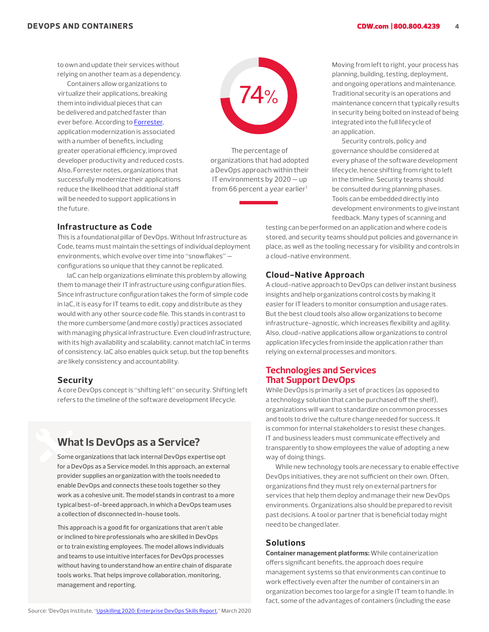to own and update their services without relying on another team as a dependency.

Containers allow organizations to virtualize their applications, breaking them into individual pieces that can be delivered and patched faster than ever before. According to [Forrester,](https://www.ibm.com/blogs/cloud-computing/2019/04/17/forrester-study-roi-application-modernization/) application modernization is associated with a number of benefits, including greater operational efficiency, improved developer productivity and reduced costs. Also, Forrester notes, organizations that successfully modernize their applications reduce the likelihood that additional staff will be needed to support applications in the future.



The percentage of organizations that had adopted a DevOps approach within their IT environments by 2020 — up from 66 percent a year earlier<sup>1</sup>

#### **Infrastructure as Code**

This is a foundational pillar of DevOps. Without Infrastructure as Code, teams must maintain the settings of individual deployment environments, which evolve over time into "snowflakes" configurations so unique that they cannot be replicated.

IaC can help organizations eliminate this problem by allowing them to manage their IT infrastructure using configuration files. Since infrastructure configuration takes the form of simple code in IaC, it is easy for IT teams to edit, copy and distribute as they would with any other source code file. This stands in contrast to the more cumbersome (and more costly) practices associated with managing physical infrastructure. Even cloud infrastructure, with its high availability and scalability, cannot match IaC in terms of consistency. IaC also enables quick setup, but the top benefits are likely consistency and accountability.

#### **Security**

A core DevOps concept is "shifting left" on security. Shifting left refers to the timeline of the software development lifecycle.

# **What Is DevOps as a Service?**

Some organizations that lack internal DevOps expertise opt for a DevOps as a Service model. In this approach, an external provider supplies an organization with the tools needed to enable DevOps and connects these tools together so they work as a cohesive unit. The model stands in contrast to a more typical best-of-breed approach, in which a DevOps team uses a collection of disconnected in-house tools.

This approach is a good fit for organizations that aren't able or inclined to hire professionals who are skilled in DevOps or to train existing employees. The model allows individuals and teams to use intuitive interfaces for DevOps processes without having to understand how an entire chain of disparate tools works. That helps improve collaboration, monitoring, management and reporting.

Moving from left to right, your process has planning, building, testing, deployment, and ongoing operations and maintenance. Traditional security is an operations and maintenance concern that typically results in security being bolted on instead of being integrated into the full lifecycle of an application.

Security controls, policy and governance should be considered at every phase of the software development lifecycle, hence shifting from right to left in the timeline. Security teams should be consulted during planning phases. Tools can be embedded directly into development environments to give instant feedback. Many types of scanning and

testing can be performed on an application and where code is stored, and security teams should put policies and governance in place, as well as the tooling necessary for visibility and controls in a cloud-native environment.

## **Cloud-Native Approach**

A cloud-native approach to DevOps can deliver instant business insights and help organizations control costs by making it easier for IT leaders to monitor consumption and usage rates. But the best cloud tools also allow organizations to become infrastructure-agnostic, which increases flexibility and agility. Also, cloud-native applications allow organizations to control application lifecycles from inside the application rather than relying on external processes and monitors.

# **Technologies and Services That Support DevOps**

While DevOps is primarily a set of practices (as opposed to a technology solution that can be purchased off the shelf), organizations will want to standardize on common processes and tools to drive the culture change needed for success. It is common for internal stakeholders to resist these changes. IT and business leaders must communicate effectively and transparently to show employees the value of adopting a new way of doing things.

While new technology tools are necessary to enable effective DevOps initiatives, they are not sufficient on their own. Often, organizations find they must rely on external partners for services that help them deploy and manage their new DevOps environments. Organizations also should be prepared to revisit past decisions. A tool or partner that is beneficial today might need to be changed later.

#### **Solutions**

**Container management platforms:** While containerization offers significant benefits, the approach does require management systems so that environments can continue to work effectively even after the number of containers in an organization becomes too large for a single IT team to handle. In fact, some of the advantages of containers (including the ease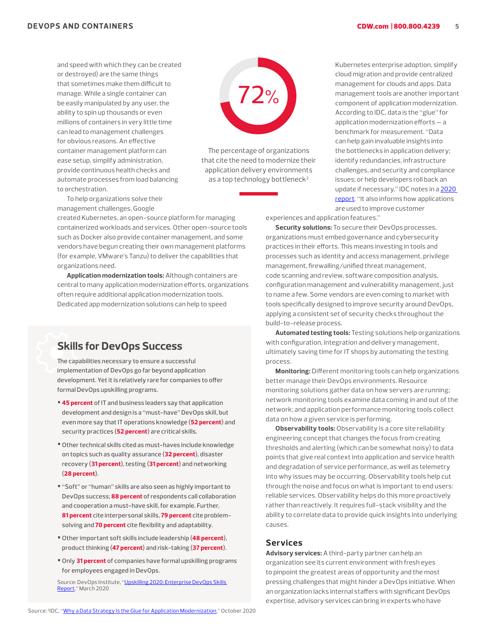and speed with which they can be created or destroyed) are the same things that sometimes make them difficult to manage. While a single container can be easily manipulated by any user, the ability to spin up thousands or even millions of containers in very little time can lead to management challenges for obvious reasons. An effective container management platform can ease setup, simplify administration, provide continuous health checks and automate processes from load balancing to orchestration.



The percentage of organizations that cite the need to modernize their application delivery environments as a top technology bottleneck<sup>2</sup>

To help organizations solve their management challenges, Google

created Kubernetes, an open-source platform for managing containerized workloads and services. Other open-source tools such as Docker also provide container management, and some vendors have begun creating their own management platforms (for example, VMware's Tanzu) to deliver the capabilities that organizations need.

**Application modernization tools:** Although containers are central to many application modernization efforts, organizations often require additional application modernization tools. Dedicated app modernization solutions can help to speed

# **Skills for DevOps Success**

The capabilities necessary to ensure a successful implementation of DevOps go far beyond application development. Yet it is relatively rare for companies to offer formal DevOps upskilling programs.

- 45 percent of IT and business leaders say that application development and design is a "must-have" DevOps skill, but even more say that IT operations knowledge (52 percent) and security practices (52 percent) are critical skills.
- Other technical skills cited as must-haves include knowledge on topics such as quality assurance (32 percent), disaster recovery (31 percent), testing (31 percent) and networking (28 percent).
- "Soft" or "human" skills are also seen as highly important to DevOps success; 88 percent of respondents call collaboration and cooperation a must-have skill, for example. Further, 81 percent cite interpersonal skills, 79 percent cite problemsolving and 70 percent cite flexibility and adaptability.
- Other important soft skills include leadership (48 percent), product thinking (47 percent) and risk-taking (37 percent).
- Only 31 percent of companies have formal upskilling programs for employees engaged in DevOps.

Source: DevOps Institute, "[Upskilling 2020: Enterprise DevOps Skills](https://www.bmc.com/content/dam/bmc/collateral/third-party/2020-Upskilling-Report-FINAL.pdf)  [Report,](https://www.bmc.com/content/dam/bmc/collateral/third-party/2020-Upskilling-Report-FINAL.pdf)" March 2020

Kubernetes enterprise adoption, simplify cloud migration and provide centralized management for clouds and apps. Data management tools are another important component of application modernization. According to IDC, data is the "glue" for application modernization efforts — a benchmark for measurement. "Data can help gain invaluable insights into the bottlenecks in application delivery; identify redundancies, infrastructure challenges, and security and compliance issues; or help developers roll back an update if necessary," IDC notes in a [2020](https://www.splunk.com/en_us/pdfs/resources/analyst-report/why-a-data-strategy-is-the-glue-for-application-modernization.pdf)  [report](https://www.splunk.com/en_us/pdfs/resources/analyst-report/why-a-data-strategy-is-the-glue-for-application-modernization.pdf). "It also informs how applications are used to improve customer

experiences and application features."

**Security solutions:** To secure their DevOps processes, organizations must embed governance and cybersecurity practices in their efforts. This means investing in tools and processes such as identity and access management, privilege management, firewalling/unified threat management, code scanning and review, software composition analysis, configuration management and vulnerability management, just to name a few. Some vendors are even coming to market with tools specifically designed to improve security around DevOps, applying a consistent set of security checks throughout the build-to-release process.

**Automated testing tools:** Testing solutions help organizations with configuration, integration and delivery management, ultimately saving time for IT shops by automating the testing process.

**Monitoring:** Different monitoring tools can help organizations better manage their DevOps environments. Resource monitoring solutions gather data on how servers are running; network monitoring tools examine data coming in and out of the network; and application performance monitoring tools collect data on how a given service is performing.

**Observability tools:** Observability is a core site reliability engineering concept that changes the focus from creating thresholds and alerting (which can be somewhat noisy) to data points that give real context into application and service health and degradation of service performance, as well as telemetry into why issues may be occurring. Observability tools help cut through the noise and focus on what is important to end users: reliable services. Observability helps do this more proactively rather than reactively. It requires full-stack visibility and the ability to correlate data to provide quick insights into underlying causes.

#### **Services**

**Advisory services:** A third-party partner can help an organization see its current environment with fresh eyes to pinpoint the greatest areas of opportunity and the most pressing challenges that might hinder a DevOps initiative. When an organization lacks internal staffers with significant DevOps expertise, advisory services can bring in experts who have